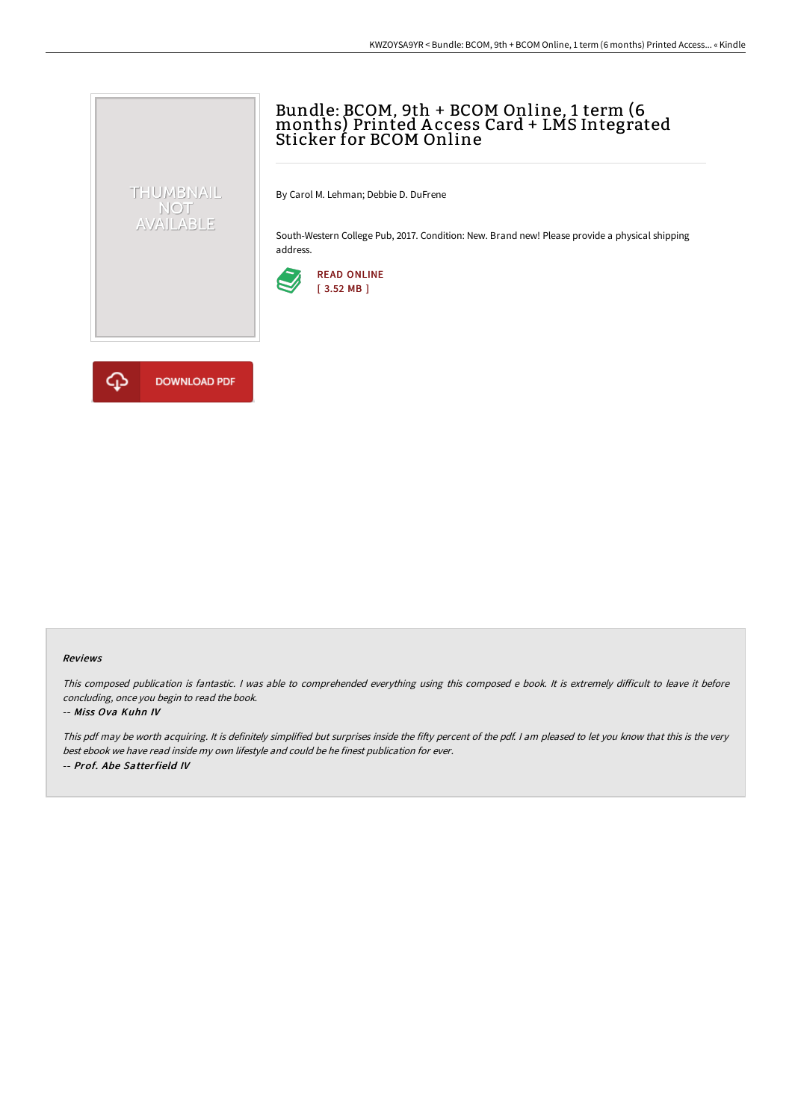# Bundle: BCOM, 9th + BCOM Online, 1 term (6 months) Printed A ccess Card + LMS Integrated Sticker for BCOM Online

By Carol M. Lehman; Debbie D. DuFrene

South-Western College Pub, 2017. Condition: New. Brand new! Please provide a physical shipping address.





THUMBNAIL NOT<br>AVAILABLE

#### Reviews

This composed publication is fantastic. I was able to comprehended everything using this composed e book. It is extremely difficult to leave it before concluding, once you begin to read the book.

#### -- Miss Ova Kuhn IV

This pdf may be worth acquiring. It is definitely simplified but surprises inside the fifty percent of the pdf. I am pleased to let you know that this is the very best ebook we have read inside my own lifestyle and could be he finest publication for ever. -- Prof. Abe Satterfield IV